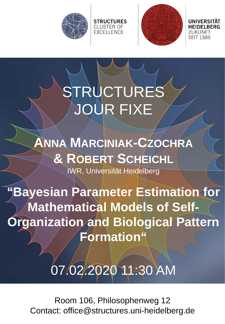



71 IKI INFT **SEIT 1386** 

## STRUCTURES JOUR FIXE

**STRUCTURES CLUSTER OF EXCELLENCE** 

**ANNA MARCINIAK-CZOCHRA & ROBERT SCHEICHL** IWR, Universität Heidelberg

**"Bayesian Parameter Estimation for Mathematical Models of Self-Organization and Biological Pattern Formation"**

## 07.02.2020 11:30 AM

Room 106, Philosophenweg 12 Contact: office@structures.uni-heidelberg.de